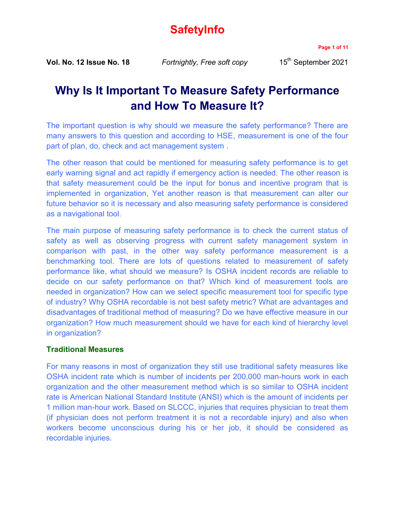# **SafetyInfo**

**Page 1 of 11**

**Vol. No. 12 Issue No. 18** *Fortnightly, Free soft copy* 15<sup>th</sup> September 2021

# **Why Is It Important To Measure Safety Performance and How To Measure It?**

The important question is why should we measure the safety performance? There are many answers to this question and according to HSE, measurement is one of the four part of plan, do, check and act management system .

The other reason that could be mentioned for measuring safety performance is to get early warning signal and act rapidly if emergency action is needed. The other reason is that safety measurement could be the input for bonus and incentive program that is implemented in organization, Yet another reason is that measurement can alter our future behavior so it is necessary and also measuring safety performance is considered as a navigational tool.

The main purpose of measuring safety performance is to check the current status of safety as well as observing progress with current safety management system in comparison with past, in the other way safety performance measurement is a benchmarking tool. There are lots of questions related to measurement of safety performance like, what should we measure? Is OSHA incident records are reliable to decide on our safety performance on that? Which kind of measurement tools are needed in organization? How can we select specific measurement tool for specific type of industry? Why OSHA recordable is not best safety metric? What are advantages and disadvantages of traditional method of measuring? Do we have effective measure in our organization? How much measurement should we have for each kind of hierarchy level in organization?

# **Traditional Measures**

For many reasons in most of organization they still use traditional safety measures like OSHA incident rate which is number of incidents per 200,000 man-hours work in each organization and the other measurement method which is so similar to OSHA incident rate is American National Standard Institute (ANSI) which is the amount of incidents per 1 million man-hour work. Based on SLCCC, injuries that requires physician to treat them (if physician does not perform treatment it is not a recordable injury) and also when workers become unconscious during his or her job, it should be considered as recordable injuries.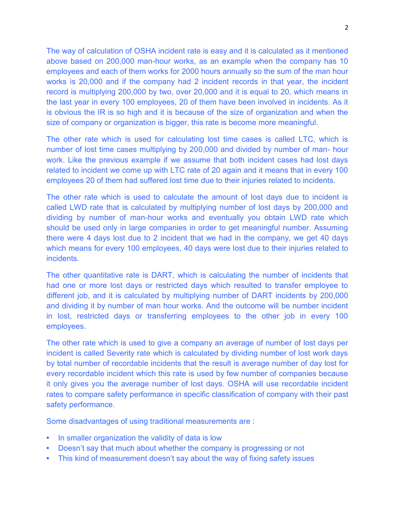The way of calculation of OSHA incident rate is easy and it is calculated as it mentioned above based on 200,000 man-hour works, as an example when the company has 10 employees and each of them works for 2000 hours annually so the sum of the man hour works is 20,000 and if the company had 2 incident records in that year, the incident record is multiplying 200,000 by two, over 20,000 and it is equal to 20, which means in the last year in every 100 employees, 20 of them have been involved in incidents. As it is obvious the IR is so high and it is because of the size of organization and when the size of company or organization is bigger, this rate is become more meaningful.

The other rate which is used for calculating lost time cases is called LTC, which is number of lost time cases multiplying by 200,000 and divided by number of man- hour work. Like the previous example if we assume that both incident cases had lost days related to incident we come up with LTC rate of 20 again and it means that in every 100 employees 20 of them had suffered lost time due to their injuries related to incidents.

The other rate which is used to calculate the amount of lost days due to incident is called LWD rate that is calculated by multiplying number of lost days by 200,000 and dividing by number of man-hour works and eventually you obtain LWD rate which should be used only in large companies in order to get meaningful number. Assuming there were 4 days lost due to 2 incident that we had in the company, we get 40 days which means for every 100 employees, 40 days were lost due to their injuries related to incidents.

The other quantitative rate is DART, which is calculating the number of incidents that had one or more lost days or restricted days which resulted to transfer employee to different job, and it is calculated by multiplying number of DART incidents by 200,000 and dividing it by number of man hour works. And the outcome will be number incident in lost, restricted days or transferring employees to the other job in every 100 employees.

The other rate which is used to give a company an average of number of lost days per incident is called Severity rate which is calculated by dividing number of lost work days by total number of recordable incidents that the result is average number of day lost for every recordable incident which this rate is used by few number of companies because it only gives you the average number of lost days. OSHA will use recordable incident rates to compare safety performance in specific classification of company with their past safety performance.

Some disadvantages of using traditional measurements are :

- **•** In smaller organization the validity of data is low
- **•** Doesn't say that much about whether the company is progressing or not
- **•** This kind of measurement doesn't say about the way of fixing safety issues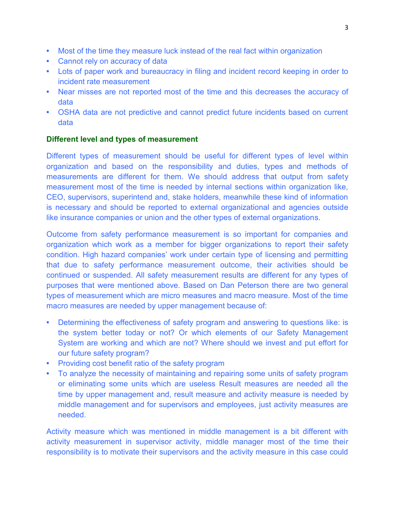- **•** Most of the time they measure luck instead of the real fact within organization
- **•** Cannot rely on accuracy of data
- **•** Lots of paper work and bureaucracy in filing and incident record keeping in order to incident rate measurement
- **•** Near misses are not reported most of the time and this decreases the accuracy of data
- **•** OSHA data are not predictive and cannot predict future incidents based on current data

# **Different level and types of measurement**

Different types of measurement should be useful for different types of level within organization and based on the responsibility and duties, types and methods of measurements are different for them. We should address that output from safety measurement most of the time is needed by internal sections within organization like, CEO, supervisors, superintend and, stake holders, meanwhile these kind of information is necessary and should be reported to external organizational and agencies outside like insurance companies or union and the other types of external organizations.

Outcome from safety performance measurement is so important for companies and organization which work as a member for bigger organizations to report their safety condition. High hazard companies' work under certain type of licensing and permitting that due to safety performance measurement outcome, their activities should be continued or suspended. All safety measurement results are different for any types of purposes that were mentioned above. Based on Dan Peterson there are two general types of measurement which are micro measures and macro measure. Most of the time macro measures are needed by upper management because of:

- **•** Determining the effectiveness of safety program and answering to questions like: is the system better today or not? Or which elements of our Safety Management System are working and which are not? Where should we invest and put effort for our future safety program?
- **•** Providing cost benefit ratio of the safety program
- **•** To analyze the necessity of maintaining and repairing some units of safety program or eliminating some units which are useless Result measures are needed all the time by upper management and, result measure and activity measure is needed by middle management and for supervisors and employees, just activity measures are needed.

Activity measure which was mentioned in middle management is a bit different with activity measurement in supervisor activity, middle manager most of the time their responsibility is to motivate their supervisors and the activity measure in this case could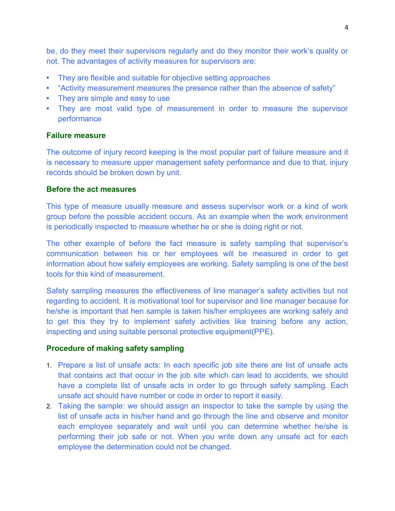be, do they meet their supervisors regularly and do they monitor their work's quality or not. The advantages of activity measures for supervisors are:

- **•** They are flexible and suitable for objective setting approaches
- **•** "Activity measurement measures the presence rather than the absence of safety"
- **•** They are simple and easy to use
- **•** They are most valid type of measurement in order to measure the supervisor performance

# **Failure measure**

The outcome of injury record keeping is the most popular part of failure measure and it is necessary to measure upper management safety performance and due to that, injury records should be broken down by unit.

# **Before the act measures**

This type of measure usually measure and assess supervisor work or a kind of work group before the possible accident occurs. As an example when the work environment is periodically inspected to measure whether he or she is doing right or not.

The other example of before the fact measure is safety sampling that supervisor's communication between his or her employees will be measured in order to get information about how safely employees are working. Safety sampling is one of the best tools for this kind of measurement.

Safety sampling measures the effectiveness of line manager's safety activities but not regarding to accident. It is motivational tool for supervisor and line manager because for he/she is important that hen sample is taken his/her employees are working safely and to get this they try to implement safety activities like training before any action, inspecting and using suitable personal protective equipment(PPE).

#### **Procedure of making safety sampling**

- 1. Prepare a list of unsafe acts: In each specific job site there are list of unsafe acts that contains act that occur in the job site which can lead to accidents, we should have a complete list of unsafe acts in order to go through safety sampling. Each unsafe act should have number or code in order to report it easily.
- 2. Taking the sample: we should assign an inspector to take the sample by using the list of unsafe acts in his/her hand and go through the line and observe and monitor each employee separately and wait until you can determine whether he/she is performing their job safe or not. When you write down any unsafe act for each employee the determination could not be changed.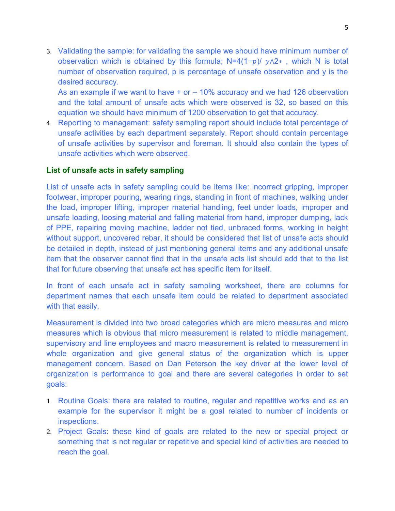3. Validating the sample: for validating the sample we should have minimum number of observation which is obtained by this formula; N=4(1- $p$ )/  $y \wedge 2*$ , which N is total number of observation required, p is percentage of unsafe observation and y is the desired accuracy.

As an example if we want to have  $+$  or  $-$  10% accuracy and we had 126 observation and the total amount of unsafe acts which were observed is 32, so based on this equation we should have minimum of 1200 observation to get that accuracy.

4. Reporting to management: safety sampling report should include total percentage of unsafe activities by each department separately. Report should contain percentage of unsafe activities by supervisor and foreman. It should also contain the types of unsafe activities which were observed.

# **List of unsafe acts in safety sampling**

List of unsafe acts in safety sampling could be items like: incorrect gripping, improper footwear, improper pouring, wearing rings, standing in front of machines, walking under the load, improper lifting, improper material handling, feet under loads, improper and unsafe loading, loosing material and falling material from hand, improper dumping, lack of PPE, repairing moving machine, ladder not tied, unbraced forms, working in height without support, uncovered rebar, it should be considered that list of unsafe acts should be detailed in depth, instead of just mentioning general items and any additional unsafe item that the observer cannot find that in the unsafe acts list should add that to the list that for future observing that unsafe act has specific item for itself.

In front of each unsafe act in safety sampling worksheet, there are columns for department names that each unsafe item could be related to department associated with that easily.

Measurement is divided into two broad categories which are micro measures and micro measures which is obvious that micro measurement is related to middle management, supervisory and line employees and macro measurement is related to measurement in whole organization and give general status of the organization which is upper management concern. Based on Dan Peterson the key driver at the lower level of organization is performance to goal and there are several categories in order to set goals:

- 1. Routine Goals: there are related to routine, regular and repetitive works and as an example for the supervisor it might be a goal related to number of incidents or inspections.
- 2. Project Goals: these kind of goals are related to the new or special project or something that is not regular or repetitive and special kind of activities are needed to reach the goal.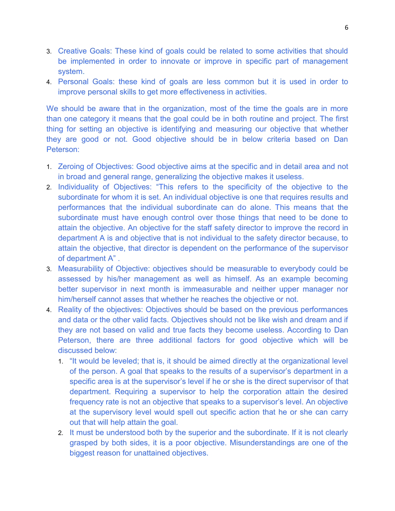- 3. Creative Goals: These kind of goals could be related to some activities that should be implemented in order to innovate or improve in specific part of management system.
- 4. Personal Goals: these kind of goals are less common but it is used in order to improve personal skills to get more effectiveness in activities.

We should be aware that in the organization, most of the time the goals are in more than one category it means that the goal could be in both routine and project. The first thing for setting an objective is identifying and measuring our objective that whether they are good or not. Good objective should be in below criteria based on Dan Peterson:

- 1. Zeroing of Objectives: Good objective aims at the specific and in detail area and not in broad and general range, generalizing the objective makes it useless.
- 2. Individuality of Objectives: "This refers to the specificity of the objective to the subordinate for whom it is set. An individual objective is one that requires results and performances that the individual subordinate can do alone. This means that the subordinate must have enough control over those things that need to be done to attain the objective. An objective for the staff safety director to improve the record in department A is and objective that is not individual to the safety director because, to attain the objective, that director is dependent on the performance of the supervisor of department A" .
- 3. Measurability of Objective: objectives should be measurable to everybody could be assessed by his/her management as well as himself. As an example becoming better supervisor in next month is immeasurable and neither upper manager nor him/herself cannot asses that whether he reaches the objective or not.
- 4. Reality of the objectives: Objectives should be based on the previous performances and data or the other valid facts. Objectives should not be like wish and dream and if they are not based on valid and true facts they become useless. According to Dan Peterson, there are three additional factors for good objective which will be discussed below:
	- 1. "It would be leveled; that is, it should be aimed directly at the organizational level of the person. A goal that speaks to the results of a supervisor's department in a specific area is at the supervisor's level if he or she is the direct supervisor of that department. Requiring a supervisor to help the corporation attain the desired frequency rate is not an objective that speaks to a supervisor's level. An objective at the supervisory level would spell out specific action that he or she can carry out that will help attain the goal.
	- 2. It must be understood both by the superior and the subordinate. If it is not clearly grasped by both sides, it is a poor objective. Misunderstandings are one of the biggest reason for unattained objectives.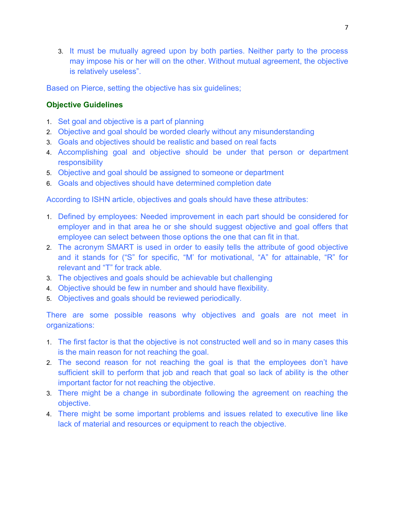3. It must be mutually agreed upon by both parties. Neither party to the process may impose his or her will on the other. Without mutual agreement, the objective is relatively useless".

Based on Pierce, setting the objective has six guidelines;

# **Objective Guidelines**

- 1. Set goal and objective is a part of planning
- 2. Objective and goal should be worded clearly without any misunderstanding
- 3. Goals and objectives should be realistic and based on real facts
- 4. Accomplishing goal and objective should be under that person or department responsibility
- 5. Objective and goal should be assigned to someone or department
- 6. Goals and objectives should have determined completion date

According to ISHN article, objectives and goals should have these attributes:

- 1. Defined by employees: Needed improvement in each part should be considered for employer and in that area he or she should suggest objective and goal offers that employee can select between those options the one that can fit in that.
- 2. The acronym SMART is used in order to easily tells the attribute of good objective and it stands for ("S" for specific, "M' for motivational, "A" for attainable, "R" for relevant and "T" for track able.
- 3. The objectives and goals should be achievable but challenging
- 4. Objective should be few in number and should have flexibility.
- 5. Objectives and goals should be reviewed periodically.

There are some possible reasons why objectives and goals are not meet in organizations:

- 1. The first factor is that the objective is not constructed well and so in many cases this is the main reason for not reaching the goal.
- 2. The second reason for not reaching the goal is that the employees don't have sufficient skill to perform that job and reach that goal so lack of ability is the other important factor for not reaching the objective.
- 3. There might be a change in subordinate following the agreement on reaching the objective.
- 4. There might be some important problems and issues related to executive line like lack of material and resources or equipment to reach the objective.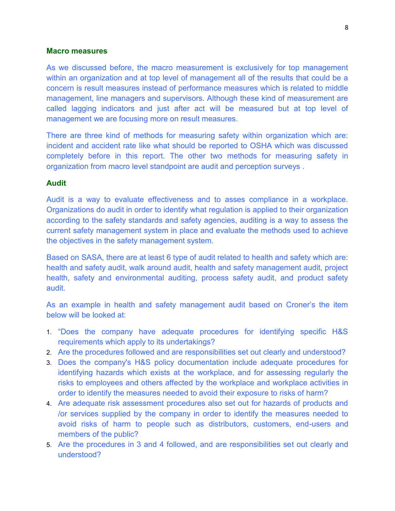#### **Macro measures**

As we discussed before, the macro measurement is exclusively for top management within an organization and at top level of management all of the results that could be a concern is result measures instead of performance measures which is related to middle management, line managers and supervisors. Although these kind of measurement are called lagging indicators and just after act will be measured but at top level of management we are focusing more on result measures.

There are three kind of methods for measuring safety within organization which are: incident and accident rate like what should be reported to OSHA which was discussed completely before in this report. The other two methods for measuring safety in organization from macro level standpoint are audit and perception surveys .

#### **Audit**

Audit is a way to evaluate effectiveness and to asses compliance in a workplace. Organizations do audit in order to identify what regulation is applied to their organization according to the safety standards and safety agencies, auditing is a way to assess the current safety management system in place and evaluate the methods used to achieve the objectives in the safety management system.

Based on SASA, there are at least 6 type of audit related to health and safety which are: health and safety audit, walk around audit, health and safety management audit, project health, safety and environmental auditing, process safety audit, and product safety audit.

As an example in health and safety management audit based on Croner's the item below will be looked at:

- 1. "Does the company have adequate procedures for identifying specific H&S requirements which apply to its undertakings?
- 2. Are the procedures followed and are responsibilities set out clearly and understood?
- 3. Does the company's H&S policy documentation include adequate procedures for identifying hazards which exists at the workplace, and for assessing regularly the risks to employees and others affected by the workplace and workplace activities in order to identify the measures needed to avoid their exposure to risks of harm?
- 4. Are adequate risk assessment procedures also set out for hazards of products and /or services supplied by the company in order to identify the measures needed to avoid risks of harm to people such as distributors, customers, end-users and members of the public?
- 5. Are the procedures in 3 and 4 followed, and are responsibilities set out clearly and understood?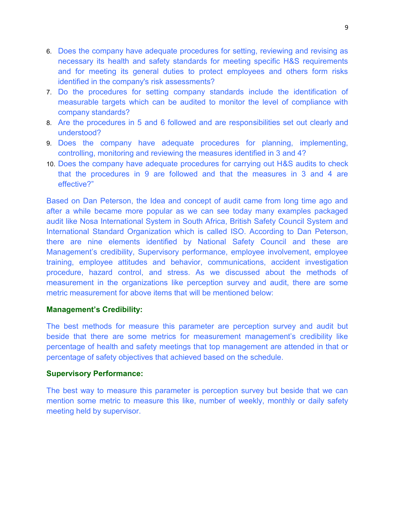- 6. Does the company have adequate procedures for setting, reviewing and revising as necessary its health and safety standards for meeting specific H&S requirements and for meeting its general duties to protect employees and others form risks identified in the company's risk assessments?
- 7. Do the procedures for setting company standards include the identification of measurable targets which can be audited to monitor the level of compliance with company standards?
- 8. Are the procedures in 5 and 6 followed and are responsibilities set out clearly and understood?
- 9. Does the company have adequate procedures for planning, implementing, controlling, monitoring and reviewing the measures identified in 3 and 4?
- 10. Does the company have adequate procedures for carrying out H&S audits to check that the procedures in 9 are followed and that the measures in 3 and 4 are effective?"

Based on Dan Peterson, the Idea and concept of audit came from long time ago and after a while became more popular as we can see today many examples packaged audit like Nosa International System in South Africa, British Safety Council System and International Standard Organization which is called ISO. According to Dan Peterson, there are nine elements identified by National Safety Council and these are Management's credibility, Supervisory performance, employee involvement, employee training, employee attitudes and behavior, communications, accident investigation procedure, hazard control, and stress. As we discussed about the methods of measurement in the organizations like perception survey and audit, there are some metric measurement for above items that will be mentioned below:

#### **Management's Credibility:**

The best methods for measure this parameter are perception survey and audit but beside that there are some metrics for measurement management's credibility like percentage of health and safety meetings that top management are attended in that or percentage of safety objectives that achieved based on the schedule.

#### **Supervisory Performance:**

The best way to measure this parameter is perception survey but beside that we can mention some metric to measure this like, number of weekly, monthly or daily safety meeting held by supervisor.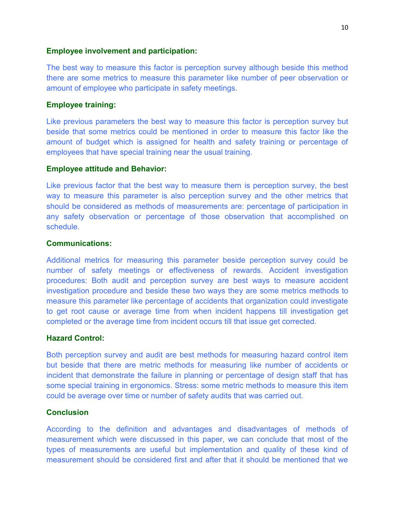#### **Employee involvement and participation:**

The best way to measure this factor is perception survey although beside this method there are some metrics to measure this parameter like number of peer observation or amount of employee who participate in safety meetings.

#### **Employee training:**

Like previous parameters the best way to measure this factor is perception survey but beside that some metrics could be mentioned in order to measure this factor like the amount of budget which is assigned for health and safety training or percentage of employees that have special training near the usual training.

#### **Employee attitude and Behavior:**

Like previous factor that the best way to measure them is perception survey, the best way to measure this parameter is also perception survey and the other metrics that should be considered as methods of measurements are: percentage of participation in any safety observation or percentage of those observation that accomplished on schedule.

#### **Communications:**

Additional metrics for measuring this parameter beside perception survey could be number of safety meetings or effectiveness of rewards. Accident investigation procedures: Both audit and perception survey are best ways to measure accident investigation procedure and beside these two ways they are some metrics methods to measure this parameter like percentage of accidents that organization could investigate to get root cause or average time from when incident happens till investigation get completed or the average time from incident occurs till that issue get corrected.

#### **Hazard Control:**

Both perception survey and audit are best methods for measuring hazard control item but beside that there are metric methods for measuring like number of accidents or incident that demonstrate the failure in planning or percentage of design staff that has some special training in ergonomics. Stress: some metric methods to measure this item could be average over time or number of safety audits that was carried out.

# **Conclusion**

According to the definition and advantages and disadvantages of methods of measurement which were discussed in this paper, we can conclude that most of the types of measurements are useful but implementation and quality of these kind of measurement should be considered first and after that it should be mentioned that we